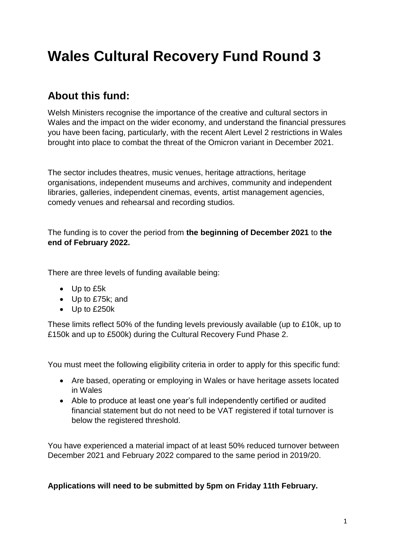# **Wales Cultural Recovery Fund Round 3**

# **About this fund:**

Welsh Ministers recognise the importance of the creative and cultural sectors in Wales and the impact on the wider economy, and understand the financial pressures you have been facing, particularly, with the recent Alert Level 2 restrictions in Wales brought into place to combat the threat of the Omicron variant in December 2021.

The sector includes theatres, music venues, heritage attractions, heritage organisations, independent museums and archives, community and independent libraries, galleries, independent cinemas, events, artist management agencies, comedy venues and rehearsal and recording studios.

The funding is to cover the period from **the beginning of December 2021** to **the end of February 2022.**

There are three levels of funding available being:

- Up to £5k
- Up to £75k; and
- Up to £250k

These limits reflect 50% of the funding levels previously available (up to £10k, up to £150k and up to £500k) during the Cultural Recovery Fund Phase 2.

You must meet the following eligibility criteria in order to apply for this specific fund:

- Are based, operating or employing in Wales or have heritage assets located in Wales
- Able to produce at least one year's full independently certified or audited financial statement but do not need to be VAT registered if total turnover is below the registered threshold.

You have experienced a material impact of at least 50% reduced turnover between December 2021 and February 2022 compared to the same period in 2019/20.

**Applications will need to be submitted by 5pm on Friday 11th February.**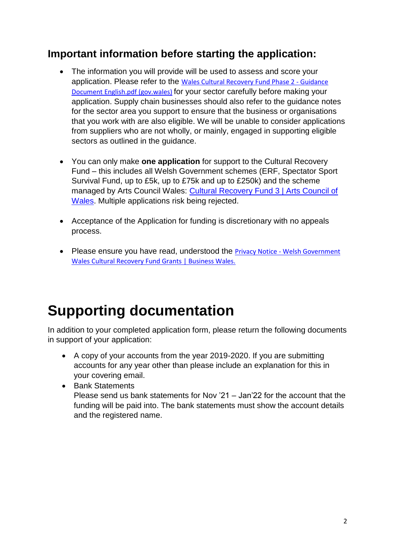# **Important information before starting the application:**

- The information you will provide will be used to assess and score your application. Please refer to the [Wales Cultural Recovery Fund Phase 2 -](https://businesswales.gov.wales/sites/main/files/documents/Wales%20Cultural%20Recovery%20Fund%20Phase%202%20-%20Guidance%20Document%20English.pdf) Guidance [Document English.pdf \(gov.wales\)](https://businesswales.gov.wales/sites/main/files/documents/Wales%20Cultural%20Recovery%20Fund%20Phase%202%20-%20Guidance%20Document%20English.pdf) for your sector carefully before making your application. Supply chain businesses should also refer to the guidance notes for the sector area you support to ensure that the business or organisations that you work with are also eligible. We will be unable to consider applications from suppliers who are not wholly, or mainly, engaged in supporting eligible sectors as outlined in the guidance.
- You can only make **one application** for support to the Cultural Recovery Fund – this includes all Welsh Government schemes (ERF, Spectator Sport Survival Fund, up to £5k, up to £75k and up to £250k) and the scheme managed by Arts Council Wales: [Cultural Recovery Fund 3 | Arts Council of](https://arts.wales/cultural-recovery-fund-3)  [Wales.](https://arts.wales/cultural-recovery-fund-3) Multiple applications risk being rejected.
- Acceptance of the Application for funding is discretionary with no appeals process.
- Please ensure you have read, understood the Privacy Notice Welsh Government [Wales Cultural Recovery Fund Grants | Business Wales.](https://businesswales.gov.wales/privacy-notice-welsh-government-wales-cultural-recovery-fund-grants)

# **Supporting documentation**

In addition to your completed application form, please return the following documents in support of your application:

- A copy of your accounts from the year 2019-2020. If you are submitting accounts for any year other than please include an explanation for this in your covering email.
- Bank Statements Please send us bank statements for Nov '21 – Jan'22 for the account that the funding will be paid into. The bank statements must show the account details and the registered name.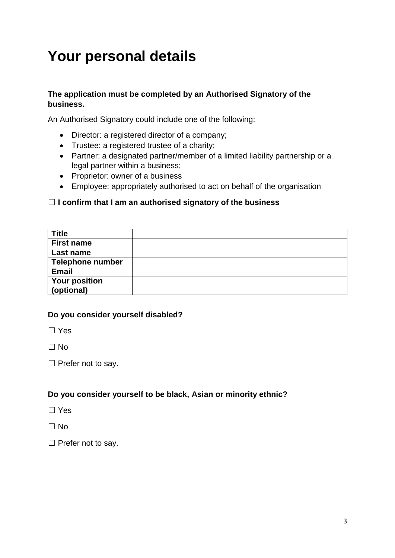# **Your personal details**

#### **The application must be completed by an Authorised Signatory of the business.**

An Authorised Signatory could include one of the following:

- Director: a registered director of a company;
- Trustee: a registered trustee of a charity;
- Partner: a designated partner/member of a limited liability partnership or a legal partner within a business;
- Proprietor: owner of a business
- Employee: appropriately authorised to act on behalf of the organisation

#### ☐ **I confirm that I am an authorised signatory of the business**

| <b>Title</b>            |  |
|-------------------------|--|
| <b>First name</b>       |  |
| Last name               |  |
| <b>Telephone number</b> |  |
| <b>Email</b>            |  |
| <b>Your position</b>    |  |
| (optional)              |  |

#### **Do you consider yourself disabled?**

☐ Yes

 $\Box$  No

□ Prefer not to say.

#### **Do you consider yourself to be black, Asian or minority ethnic?**

- ☐ Yes
- $\Box$  No
- □ Prefer not to say.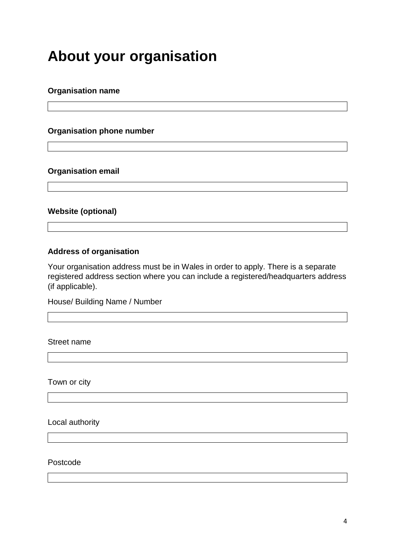# **About your organisation**

#### **Organisation name**

#### **Organisation phone number**

#### **Organisation email**

#### **Website (optional)**

#### **Address of organisation**

Your organisation address must be in Wales in order to apply. There is a separate registered address section where you can include a registered/headquarters address (if applicable).

House/ Building Name / Number

Street name

Town or city

Local authority

Postcode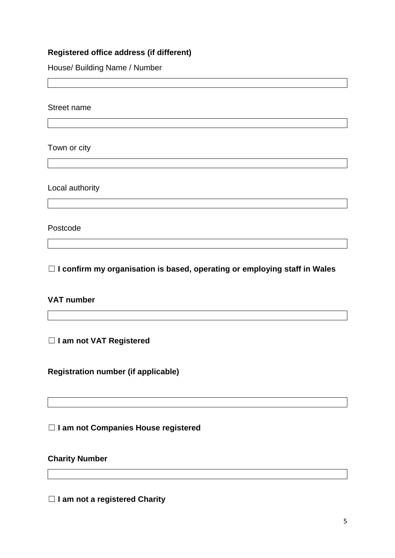## **Registered office address (if different)**

House/ Building Name / Number

Street name

Town or city

Local authority

Postcode

☐ **I confirm my organisation is based, operating or employing staff in Wales**

#### **VAT number**

☐ **I am not VAT Registered**

**Registration number (if applicable)**

☐ **I am not Companies House registered**

**Charity Number**

☐ **I am not a registered Charity**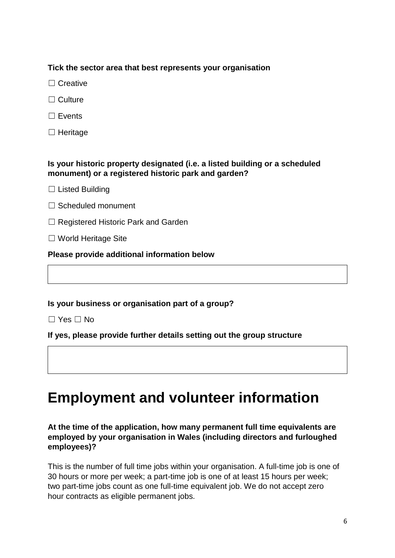## **Tick the sector area that best represents your organisation**

- □ Creative
- ☐ Culture
- ☐ Events
- □ Heritage

### **Is your historic property designated (i.e. a listed building or a scheduled monument) or a registered historic park and garden?**

- $\Box$  Listed Building
- □ Scheduled monument
- ☐ Registered Historic Park and Garden
- ☐ World Heritage Site

**Please provide additional information below**

### **Is your business or organisation part of a group?**

☐ Yes ☐ No

### **If yes, please provide further details setting out the group structure**

# **Employment and volunteer information**

### **At the time of the application, how many permanent full time equivalents are employed by your organisation in Wales (including directors and furloughed employees)?**

This is the number of full time jobs within your organisation. A full-time job is one of 30 hours or more per week; a part-time job is one of at least 15 hours per week; two part-time jobs count as one full-time equivalent job. We do not accept zero hour contracts as eligible permanent jobs.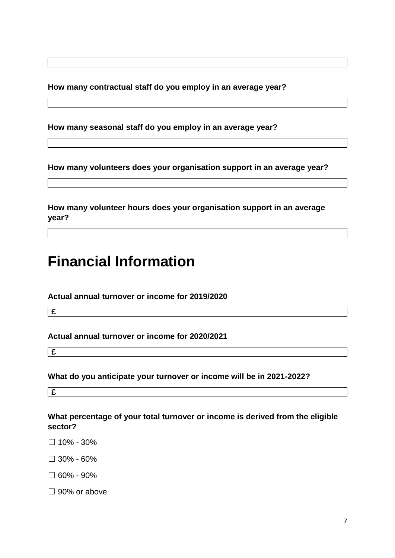**How many contractual staff do you employ in an average year?**

**How many seasonal staff do you employ in an average year?**

**How many volunteers does your organisation support in an average year?**

**How many volunteer hours does your organisation support in an average year?**

**Financial Information**

**Actual annual turnover or income for 2019/2020**

**£**

**Actual annual turnover or income for 2020/2021**

**£**

**What do you anticipate your turnover or income will be in 2021-2022?**

**£**

**What percentage of your total turnover or income is derived from the eligible sector?**

- $\Box$  10% 30%
- $\square$  30% 60%
- $\Box$  60% 90%
- □ 90% or above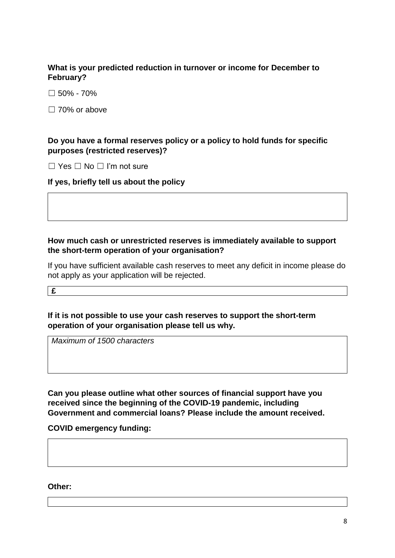#### **What is your predicted reduction in turnover or income for December to February?**

 $\square$  50% - 70%

□ 70% or above

#### **Do you have a formal reserves policy or a policy to hold funds for specific purposes (restricted reserves)?**

☐ Yes ☐ No ☐ I'm not sure

#### **If yes, briefly tell us about the policy**

### **How much cash or unrestricted reserves is immediately available to support the short-term operation of your organisation?**

If you have sufficient available cash reserves to meet any deficit in income please do not apply as your application will be rejected.

**£**

### **If it is not possible to use your cash reserves to support the short-term operation of your organisation please tell us why.**

*Maximum of 1500 characters*

**Can you please outline what other sources of financial support have you received since the beginning of the COVID-19 pandemic, including Government and commercial loans? Please include the amount received.**

**COVID emergency funding:**

**Other:**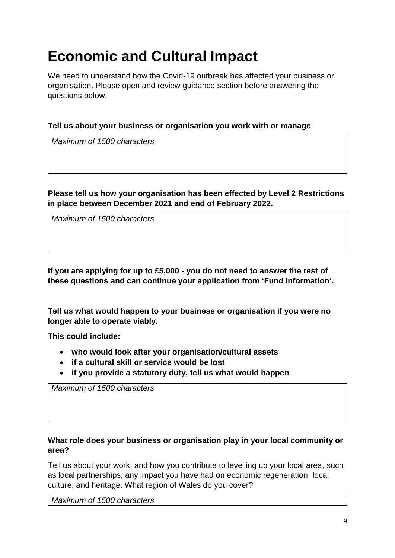# **Economic and Cultural Impact**

We need to understand how the Covid-19 outbreak has affected your business or organisation. Please open and review guidance section before answering the questions below.

### **Tell us about your business or organisation you work with or manage**

*Maximum of 1500 characters*

#### **Please tell us how your organisation has been effected by Level 2 Restrictions in place between December 2021 and end of February 2022.**

*Maximum of 1500 characters*

# **If you are applying for up to £5,000 - you do not need to answer the rest of these questions and can continue your application from 'Fund Information'.**

**Tell us what would happen to your business or organisation if you were no longer able to operate viably.**

**This could include:**

- **who would look after your organisation/cultural assets**
- **if a cultural skill or service would be lost**
- **if you provide a statutory duty, tell us what would happen**

*Maximum of 1500 characters*

### **What role does your business or organisation play in your local community or area?**

Tell us about your work, and how you contribute to levelling up your local area, such as local partnerships, any impact you have had on economic regeneration, local culture, and heritage. What region of Wales do you cover?

*Maximum of 1500 characters*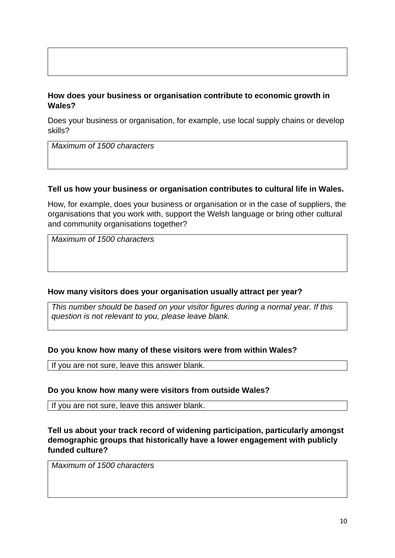### **How does your business or organisation contribute to economic growth in Wales?**

Does your business or organisation, for example, use local supply chains or develop skills?

*Maximum of 1500 characters*

#### **Tell us how your business or organisation contributes to cultural life in Wales.**

How, for example, does your business or organisation or in the case of suppliers, the organisations that you work with, support the Welsh language or bring other cultural and community organisations together?

*Maximum of 1500 characters*

#### **How many visitors does your organisation usually attract per year?**

*This number should be based on your visitor figures during a normal year. If this question is not relevant to you, please leave blank.*

#### **Do you know how many of these visitors were from within Wales?**

If you are not sure, leave this answer blank.

#### **Do you know how many were visitors from outside Wales?**

If you are not sure, leave this answer blank.

**Tell us about your track record of widening participation, particularly amongst demographic groups that historically have a lower engagement with publicly funded culture?**

*Maximum of 1500 characters*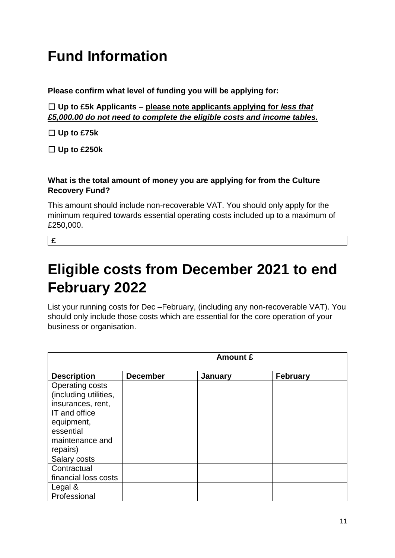# **Fund Information**

**Please confirm what level of funding you will be applying for:**

☐ **Up to £5k Applicants – please note applicants applying for** *less that £5,000.00 do not need to complete the eligible costs and income tables.* 

☐ **Up to £75k**

☐ **Up to £250k**

## **What is the total amount of money you are applying for from the Culture Recovery Fund?**

This amount should include non-recoverable VAT. You should only apply for the minimum required towards essential operating costs included up to a maximum of £250,000.

**£**

# **Eligible costs from December 2021 to end February 2022**

List your running costs for Dec –February, (including any non-recoverable VAT). You should only include those costs which are essential for the core operation of your business or organisation.

|                       | <b>Amount £</b> |         |                 |
|-----------------------|-----------------|---------|-----------------|
| <b>Description</b>    | <b>December</b> | January | <b>February</b> |
| Operating costs       |                 |         |                 |
| (including utilities, |                 |         |                 |
| insurances, rent,     |                 |         |                 |
| IT and office         |                 |         |                 |
| equipment,            |                 |         |                 |
| essential             |                 |         |                 |
| maintenance and       |                 |         |                 |
| repairs)              |                 |         |                 |
| Salary costs          |                 |         |                 |
| Contractual           |                 |         |                 |
| financial loss costs  |                 |         |                 |
| Legal &               |                 |         |                 |
| Professional          |                 |         |                 |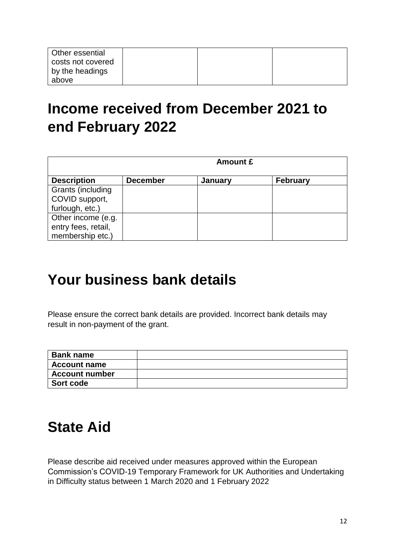| <b>Other essential</b><br>costs not covered |  |  |
|---------------------------------------------|--|--|
| by the headings                             |  |  |
| above                                       |  |  |

# **Income received from December 2021 to end February 2022**

|                     | <b>Amount £</b> |         |                 |
|---------------------|-----------------|---------|-----------------|
| <b>Description</b>  | <b>December</b> | January | <b>February</b> |
| Grants (including   |                 |         |                 |
| COVID support,      |                 |         |                 |
| furlough, etc.)     |                 |         |                 |
| Other income (e.g.  |                 |         |                 |
| entry fees, retail, |                 |         |                 |
| membership etc.)    |                 |         |                 |

# **Your business bank details**

Please ensure the correct bank details are provided. Incorrect bank details may result in non-payment of the grant.

| <b>Bank name</b>      |  |
|-----------------------|--|
| <b>Account name</b>   |  |
| <b>Account number</b> |  |
| Sort code             |  |

# **State Aid**

Please describe aid received under measures approved within the European Commission's COVID-19 Temporary Framework for UK Authorities and Undertaking in Difficulty status between 1 March 2020 and 1 February 2022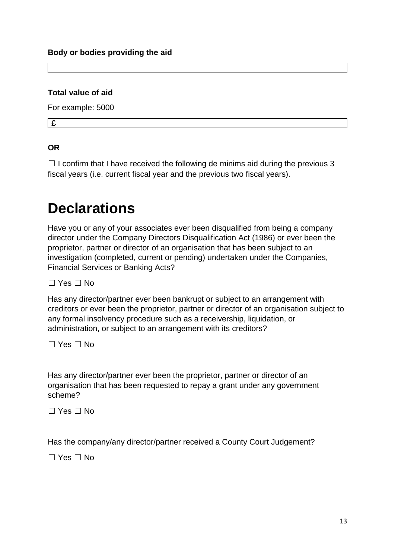#### **Total value of aid**

For example: 5000

**£**

## **OR**

 $\Box$  I confirm that I have received the following de minims aid during the previous 3 fiscal years (i.e. current fiscal year and the previous two fiscal years).

# **Declarations**

Have you or any of your associates ever been disqualified from being a company director under the Company Directors Disqualification Act (1986) or ever been the proprietor, partner or director of an organisation that has been subject to an investigation (completed, current or pending) undertaken under the Companies, Financial Services or Banking Acts?

☐ Yes ☐ No

Has any director/partner ever been bankrupt or subject to an arrangement with creditors or ever been the proprietor, partner or director of an organisation subject to any formal insolvency procedure such as a receivership, liquidation, or administration, or subject to an arrangement with its creditors?

☐ Yes ☐ No

Has any director/partner ever been the proprietor, partner or director of an organisation that has been requested to repay a grant under any government scheme?

☐ Yes ☐ No

Has the company/any director/partner received a County Court Judgement?

☐ Yes ☐ No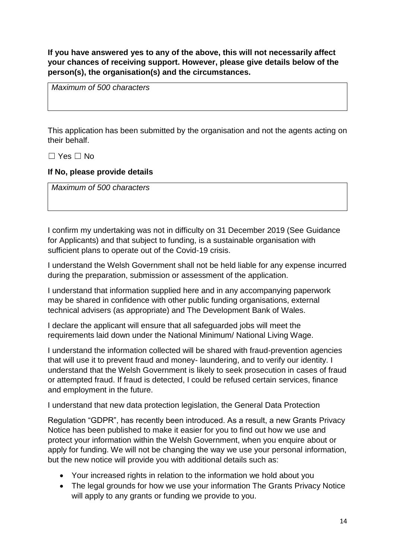**If you have answered yes to any of the above, this will not necessarily affect your chances of receiving support. However, please give details below of the person(s), the organisation(s) and the circumstances.**

*Maximum of 500 characters*

This application has been submitted by the organisation and not the agents acting on their behalf.

☐ Yes ☐ No

#### **If No, please provide details**

*Maximum of 500 characters*

I confirm my undertaking was not in difficulty on 31 December 2019 (See Guidance for Applicants) and that subject to funding, is a sustainable organisation with sufficient plans to operate out of the Covid-19 crisis.

I understand the Welsh Government shall not be held liable for any expense incurred during the preparation, submission or assessment of the application.

I understand that information supplied here and in any accompanying paperwork may be shared in confidence with other public funding organisations, external technical advisers (as appropriate) and The Development Bank of Wales.

I declare the applicant will ensure that all safeguarded jobs will meet the requirements laid down under the National Minimum/ National Living Wage.

I understand the information collected will be shared with fraud-prevention agencies that will use it to prevent fraud and money- laundering, and to verify our identity. I understand that the Welsh Government is likely to seek prosecution in cases of fraud or attempted fraud. If fraud is detected, I could be refused certain services, finance and employment in the future.

I understand that new data protection legislation, the General Data Protection

Regulation "GDPR", has recently been introduced. As a result, a new Grants Privacy Notice has been published to make it easier for you to find out how we use and protect your information within the Welsh Government, when you enquire about or apply for funding. We will not be changing the way we use your personal information, but the new notice will provide you with additional details such as:

- Your increased rights in relation to the information we hold about you
- The legal grounds for how we use your information The Grants Privacy Notice will apply to any grants or funding we provide to you.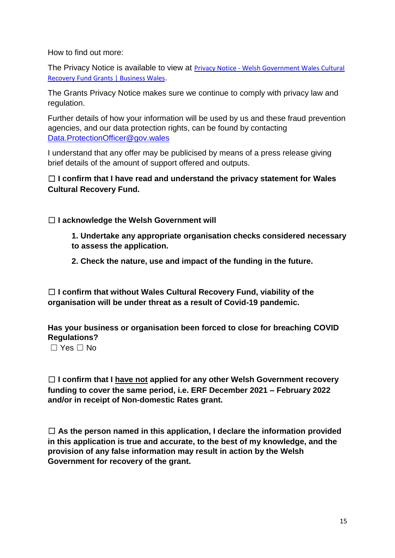How to find out more:

The Privacy Notice is available to view at **Privacy Notice - Welsh Government Wales Cultural** [Recovery Fund Grants | Business Wales](https://businesswales.gov.wales/privacy-notice-welsh-government-wales-cultural-recovery-fund-grants).

The Grants Privacy Notice makes sure we continue to comply with privacy law and regulation.

Further details of how your information will be used by us and these fraud prevention agencies, and our data protection rights, can be found by contacting [Data.ProtectionOfficer@gov.wales](mailto:Data.ProtectionOfficer@gov.wales)

I understand that any offer may be publicised by means of a press release giving brief details of the amount of support offered and outputs.

## ☐ **I confirm that I have read and understand the privacy statement for Wales Cultural Recovery Fund.**

☐ **I acknowledge the Welsh Government will**

**1. Undertake any appropriate organisation checks considered necessary to assess the application.**

**2. Check the nature, use and impact of the funding in the future.**

☐ **I confirm that without Wales Cultural Recovery Fund, viability of the organisation will be under threat as a result of Covid-19 pandemic.**

**Has your business or organisation been forced to close for breaching COVID Regulations?**

 $\Box$  Yes  $\Box$  No

☐ **I confirm that I have not applied for any other Welsh Government recovery funding to cover the same period, i.e. ERF December 2021 – February 2022 and/or in receipt of Non-domestic Rates grant.**

☐ **As the person named in this application, I declare the information provided in this application is true and accurate, to the best of my knowledge, and the provision of any false information may result in action by the Welsh Government for recovery of the grant.**